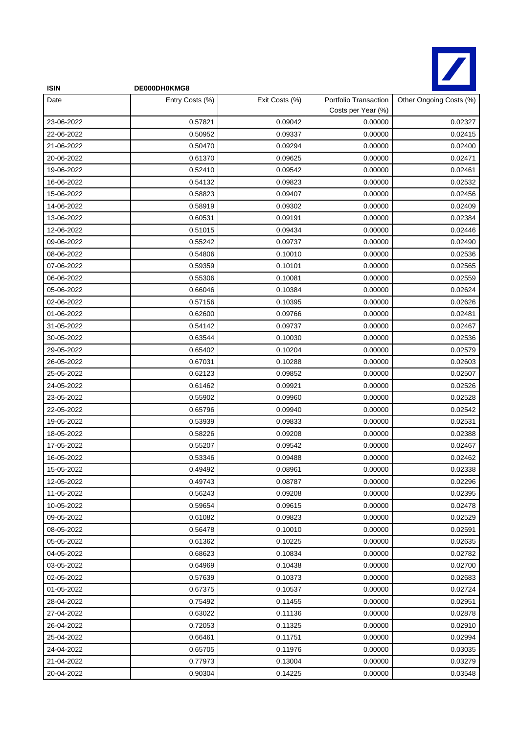

| <b>ISIN</b> | DE000DH0KMG8    |                |                                             |                         |
|-------------|-----------------|----------------|---------------------------------------------|-------------------------|
| Date        | Entry Costs (%) | Exit Costs (%) | Portfolio Transaction<br>Costs per Year (%) | Other Ongoing Costs (%) |
| 23-06-2022  | 0.57821         | 0.09042        | 0.00000                                     | 0.02327                 |
| 22-06-2022  | 0.50952         | 0.09337        | 0.00000                                     | 0.02415                 |
| 21-06-2022  | 0.50470         | 0.09294        | 0.00000                                     | 0.02400                 |
| 20-06-2022  | 0.61370         | 0.09625        | 0.00000                                     | 0.02471                 |
| 19-06-2022  | 0.52410         | 0.09542        | 0.00000                                     | 0.02461                 |
| 16-06-2022  | 0.54132         | 0.09823        | 0.00000                                     | 0.02532                 |
| 15-06-2022  | 0.58823         | 0.09407        | 0.00000                                     | 0.02456                 |
| 14-06-2022  | 0.58919         | 0.09302        | 0.00000                                     | 0.02409                 |
| 13-06-2022  | 0.60531         | 0.09191        | 0.00000                                     | 0.02384                 |
| 12-06-2022  | 0.51015         | 0.09434        | 0.00000                                     | 0.02446                 |
| 09-06-2022  | 0.55242         | 0.09737        | 0.00000                                     | 0.02490                 |
| 08-06-2022  | 0.54806         | 0.10010        | 0.00000                                     | 0.02536                 |
| 07-06-2022  | 0.59359         | 0.10101        | 0.00000                                     | 0.02565                 |
| 06-06-2022  | 0.55306         | 0.10081        | 0.00000                                     | 0.02559                 |
| 05-06-2022  | 0.66046         | 0.10384        | 0.00000                                     | 0.02624                 |
| 02-06-2022  | 0.57156         | 0.10395        | 0.00000                                     | 0.02626                 |
| 01-06-2022  | 0.62600         | 0.09766        | 0.00000                                     | 0.02481                 |
| 31-05-2022  | 0.54142         | 0.09737        | 0.00000                                     | 0.02467                 |
| 30-05-2022  | 0.63544         | 0.10030        | 0.00000                                     | 0.02536                 |
| 29-05-2022  | 0.65402         | 0.10204        | 0.00000                                     | 0.02579                 |
| 26-05-2022  | 0.67031         | 0.10288        | 0.00000                                     | 0.02603                 |
| 25-05-2022  | 0.62123         | 0.09852        | 0.00000                                     | 0.02507                 |
| 24-05-2022  | 0.61462         | 0.09921        | 0.00000                                     | 0.02526                 |
| 23-05-2022  | 0.55902         | 0.09960        | 0.00000                                     | 0.02528                 |
| 22-05-2022  | 0.65796         | 0.09940        | 0.00000                                     | 0.02542                 |
| 19-05-2022  | 0.53939         | 0.09833        | 0.00000                                     | 0.02531                 |
| 18-05-2022  | 0.58226         | 0.09208        | 0.00000                                     | 0.02388                 |
| 17-05-2022  | 0.55207         | 0.09542        | 0.00000                                     | 0.02467                 |
| 16-05-2022  | 0.53346         | 0.09488        | 0.00000                                     | 0.02462                 |
| 15-05-2022  | 0.49492         | 0.08961        | 0.00000                                     | 0.02338                 |
| 12-05-2022  | 0.49743         | 0.08787        | 0.00000                                     | 0.02296                 |
| 11-05-2022  | 0.56243         | 0.09208        | 0.00000                                     | 0.02395                 |
| 10-05-2022  | 0.59654         | 0.09615        | 0.00000                                     | 0.02478                 |
| 09-05-2022  | 0.61082         | 0.09823        | 0.00000                                     | 0.02529                 |
| 08-05-2022  | 0.56478         | 0.10010        | 0.00000                                     | 0.02591                 |
| 05-05-2022  | 0.61362         | 0.10225        | 0.00000                                     | 0.02635                 |
| 04-05-2022  | 0.68623         | 0.10834        | 0.00000                                     | 0.02782                 |
| 03-05-2022  | 0.64969         | 0.10438        | 0.00000                                     | 0.02700                 |
| 02-05-2022  | 0.57639         | 0.10373        | 0.00000                                     | 0.02683                 |
| 01-05-2022  | 0.67375         | 0.10537        | 0.00000                                     | 0.02724                 |
| 28-04-2022  | 0.75492         | 0.11455        | 0.00000                                     | 0.02951                 |
| 27-04-2022  | 0.63022         | 0.11136        | 0.00000                                     | 0.02878                 |
| 26-04-2022  | 0.72053         | 0.11325        | 0.00000                                     | 0.02910                 |
| 25-04-2022  | 0.66461         | 0.11751        | 0.00000                                     | 0.02994                 |
| 24-04-2022  | 0.65705         | 0.11976        | 0.00000                                     | 0.03035                 |
| 21-04-2022  | 0.77973         | 0.13004        | 0.00000                                     | 0.03279                 |
| 20-04-2022  | 0.90304         | 0.14225        | 0.00000                                     | 0.03548                 |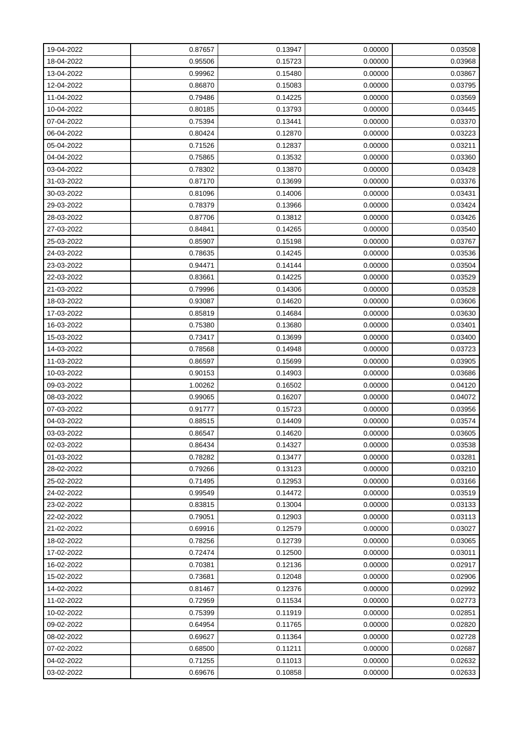| 19-04-2022 | 0.87657 | 0.13947 | 0.00000 | 0.03508 |
|------------|---------|---------|---------|---------|
| 18-04-2022 | 0.95506 | 0.15723 | 0.00000 | 0.03968 |
| 13-04-2022 | 0.99962 | 0.15480 | 0.00000 | 0.03867 |
| 12-04-2022 | 0.86870 | 0.15083 | 0.00000 | 0.03795 |
| 11-04-2022 | 0.79486 | 0.14225 | 0.00000 | 0.03569 |
| 10-04-2022 | 0.80185 | 0.13793 | 0.00000 | 0.03445 |
| 07-04-2022 | 0.75394 | 0.13441 | 0.00000 | 0.03370 |
| 06-04-2022 | 0.80424 | 0.12870 | 0.00000 | 0.03223 |
| 05-04-2022 | 0.71526 | 0.12837 | 0.00000 | 0.03211 |
| 04-04-2022 | 0.75865 | 0.13532 | 0.00000 | 0.03360 |
| 03-04-2022 | 0.78302 | 0.13870 | 0.00000 | 0.03428 |
| 31-03-2022 | 0.87170 | 0.13699 | 0.00000 | 0.03376 |
| 30-03-2022 | 0.81096 | 0.14006 | 0.00000 | 0.03431 |
| 29-03-2022 | 0.78379 | 0.13966 | 0.00000 | 0.03424 |
| 28-03-2022 | 0.87706 | 0.13812 | 0.00000 | 0.03426 |
| 27-03-2022 | 0.84841 | 0.14265 | 0.00000 | 0.03540 |
| 25-03-2022 | 0.85907 | 0.15198 | 0.00000 | 0.03767 |
| 24-03-2022 | 0.78635 | 0.14245 | 0.00000 | 0.03536 |
| 23-03-2022 | 0.94471 | 0.14144 | 0.00000 | 0.03504 |
| 22-03-2022 | 0.83661 | 0.14225 | 0.00000 | 0.03529 |
| 21-03-2022 | 0.79996 | 0.14306 | 0.00000 | 0.03528 |
| 18-03-2022 | 0.93087 | 0.14620 | 0.00000 | 0.03606 |
| 17-03-2022 | 0.85819 | 0.14684 | 0.00000 | 0.03630 |
| 16-03-2022 | 0.75380 | 0.13680 | 0.00000 | 0.03401 |
| 15-03-2022 | 0.73417 | 0.13699 | 0.00000 | 0.03400 |
| 14-03-2022 | 0.78568 | 0.14948 | 0.00000 | 0.03723 |
| 11-03-2022 | 0.86597 | 0.15699 | 0.00000 | 0.03905 |
| 10-03-2022 | 0.90153 | 0.14903 | 0.00000 | 0.03686 |
| 09-03-2022 | 1.00262 | 0.16502 | 0.00000 | 0.04120 |
| 08-03-2022 | 0.99065 | 0.16207 | 0.00000 | 0.04072 |
| 07-03-2022 | 0.91777 | 0.15723 | 0.00000 | 0.03956 |
| 04-03-2022 | 0.88515 | 0.14409 | 0.00000 | 0.03574 |
| 03-03-2022 | 0.86547 | 0.14620 | 0.00000 | 0.03605 |
| 02-03-2022 | 0.86434 | 0.14327 | 0.00000 | 0.03538 |
| 01-03-2022 | 0.78282 | 0.13477 | 0.00000 | 0.03281 |
| 28-02-2022 | 0.79266 | 0.13123 | 0.00000 | 0.03210 |
| 25-02-2022 | 0.71495 | 0.12953 | 0.00000 | 0.03166 |
| 24-02-2022 | 0.99549 | 0.14472 | 0.00000 | 0.03519 |
| 23-02-2022 | 0.83815 | 0.13004 | 0.00000 | 0.03133 |
| 22-02-2022 | 0.79051 | 0.12903 | 0.00000 | 0.03113 |
| 21-02-2022 | 0.69916 | 0.12579 | 0.00000 | 0.03027 |
| 18-02-2022 | 0.78256 | 0.12739 | 0.00000 | 0.03065 |
| 17-02-2022 | 0.72474 | 0.12500 | 0.00000 | 0.03011 |
| 16-02-2022 | 0.70381 | 0.12136 | 0.00000 | 0.02917 |
| 15-02-2022 | 0.73681 | 0.12048 | 0.00000 | 0.02906 |
| 14-02-2022 | 0.81467 | 0.12376 | 0.00000 | 0.02992 |
| 11-02-2022 | 0.72959 | 0.11534 | 0.00000 | 0.02773 |
| 10-02-2022 | 0.75399 | 0.11919 | 0.00000 | 0.02851 |
| 09-02-2022 | 0.64954 | 0.11765 | 0.00000 | 0.02820 |
| 08-02-2022 | 0.69627 | 0.11364 | 0.00000 | 0.02728 |
| 07-02-2022 | 0.68500 | 0.11211 | 0.00000 | 0.02687 |
| 04-02-2022 | 0.71255 | 0.11013 | 0.00000 | 0.02632 |
| 03-02-2022 | 0.69676 | 0.10858 | 0.00000 | 0.02633 |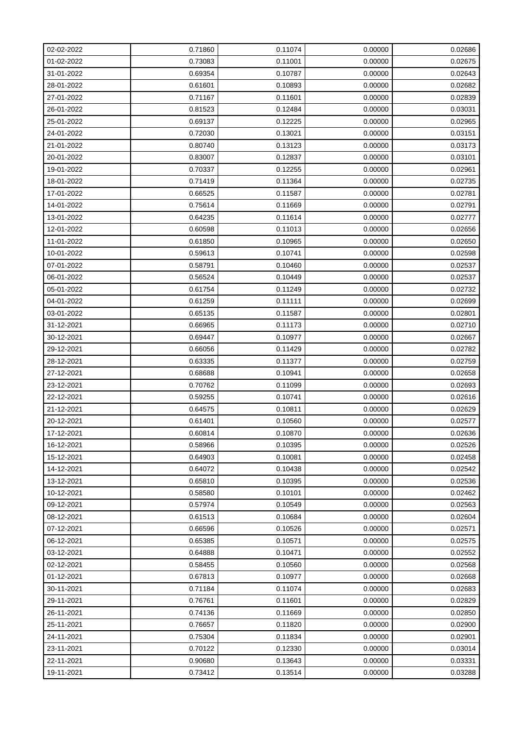| 02-02-2022 | 0.71860 | 0.11074 | 0.00000 | 0.02686 |
|------------|---------|---------|---------|---------|
| 01-02-2022 | 0.73083 | 0.11001 | 0.00000 | 0.02675 |
| 31-01-2022 | 0.69354 | 0.10787 | 0.00000 | 0.02643 |
| 28-01-2022 | 0.61601 | 0.10893 | 0.00000 | 0.02682 |
| 27-01-2022 | 0.71167 | 0.11601 | 0.00000 | 0.02839 |
| 26-01-2022 | 0.81523 | 0.12484 | 0.00000 | 0.03031 |
| 25-01-2022 | 0.69137 | 0.12225 | 0.00000 | 0.02965 |
| 24-01-2022 | 0.72030 | 0.13021 | 0.00000 | 0.03151 |
| 21-01-2022 | 0.80740 | 0.13123 | 0.00000 | 0.03173 |
| 20-01-2022 | 0.83007 | 0.12837 | 0.00000 | 0.03101 |
| 19-01-2022 | 0.70337 | 0.12255 | 0.00000 | 0.02961 |
| 18-01-2022 | 0.71419 | 0.11364 | 0.00000 | 0.02735 |
| 17-01-2022 | 0.66525 | 0.11587 | 0.00000 | 0.02781 |
| 14-01-2022 | 0.75614 | 0.11669 | 0.00000 | 0.02791 |
| 13-01-2022 | 0.64235 | 0.11614 | 0.00000 | 0.02777 |
| 12-01-2022 | 0.60598 | 0.11013 | 0.00000 | 0.02656 |
| 11-01-2022 | 0.61850 | 0.10965 | 0.00000 | 0.02650 |
| 10-01-2022 | 0.59613 | 0.10741 | 0.00000 | 0.02598 |
| 07-01-2022 | 0.58791 | 0.10460 | 0.00000 | 0.02537 |
| 06-01-2022 | 0.56524 | 0.10449 | 0.00000 | 0.02537 |
| 05-01-2022 | 0.61754 | 0.11249 | 0.00000 | 0.02732 |
| 04-01-2022 | 0.61259 | 0.11111 | 0.00000 | 0.02699 |
| 03-01-2022 | 0.65135 | 0.11587 | 0.00000 | 0.02801 |
| 31-12-2021 | 0.66965 | 0.11173 | 0.00000 | 0.02710 |
| 30-12-2021 | 0.69447 | 0.10977 | 0.00000 | 0.02667 |
| 29-12-2021 | 0.66056 | 0.11429 | 0.00000 | 0.02782 |
| 28-12-2021 | 0.63335 | 0.11377 | 0.00000 | 0.02759 |
| 27-12-2021 | 0.68688 | 0.10941 | 0.00000 | 0.02658 |
| 23-12-2021 | 0.70762 | 0.11099 | 0.00000 | 0.02693 |
| 22-12-2021 | 0.59255 | 0.10741 | 0.00000 | 0.02616 |
| 21-12-2021 | 0.64575 | 0.10811 | 0.00000 | 0.02629 |
| 20-12-2021 | 0.61401 | 0.10560 | 0.00000 | 0.02577 |
| 17-12-2021 | 0.60814 | 0.10870 | 0.00000 | 0.02636 |
| 16-12-2021 | 0.58966 | 0.10395 | 0.00000 | 0.02526 |
| 15-12-2021 | 0.64903 | 0.10081 | 0.00000 | 0.02458 |
| 14-12-2021 | 0.64072 | 0.10438 | 0.00000 | 0.02542 |
| 13-12-2021 | 0.65810 | 0.10395 | 0.00000 | 0.02536 |
| 10-12-2021 | 0.58580 | 0.10101 | 0.00000 | 0.02462 |
| 09-12-2021 | 0.57974 | 0.10549 | 0.00000 | 0.02563 |
| 08-12-2021 | 0.61513 | 0.10684 | 0.00000 | 0.02604 |
| 07-12-2021 | 0.66596 | 0.10526 | 0.00000 | 0.02571 |
| 06-12-2021 | 0.65385 | 0.10571 | 0.00000 | 0.02575 |
| 03-12-2021 | 0.64888 | 0.10471 | 0.00000 | 0.02552 |
| 02-12-2021 | 0.58455 | 0.10560 | 0.00000 | 0.02568 |
| 01-12-2021 | 0.67813 | 0.10977 | 0.00000 | 0.02668 |
| 30-11-2021 | 0.71184 | 0.11074 | 0.00000 | 0.02683 |
| 29-11-2021 | 0.76761 | 0.11601 | 0.00000 | 0.02829 |
| 26-11-2021 | 0.74136 | 0.11669 | 0.00000 | 0.02850 |
| 25-11-2021 | 0.76657 | 0.11820 | 0.00000 | 0.02900 |
| 24-11-2021 | 0.75304 | 0.11834 | 0.00000 | 0.02901 |
| 23-11-2021 | 0.70122 | 0.12330 | 0.00000 | 0.03014 |
| 22-11-2021 | 0.90680 | 0.13643 | 0.00000 | 0.03331 |
| 19-11-2021 | 0.73412 | 0.13514 | 0.00000 | 0.03288 |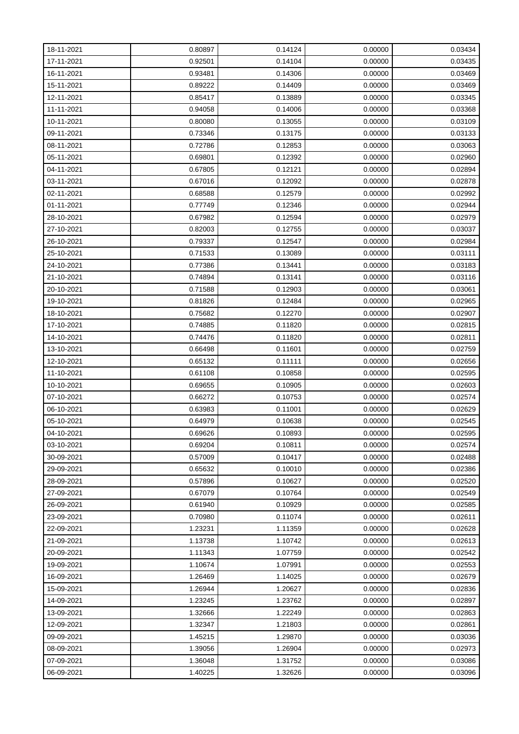| 18-11-2021 | 0.80897 | 0.14124 | 0.00000 | 0.03434 |
|------------|---------|---------|---------|---------|
| 17-11-2021 | 0.92501 | 0.14104 | 0.00000 | 0.03435 |
| 16-11-2021 | 0.93481 | 0.14306 | 0.00000 | 0.03469 |
| 15-11-2021 | 0.89222 | 0.14409 | 0.00000 | 0.03469 |
| 12-11-2021 | 0.85417 | 0.13889 | 0.00000 | 0.03345 |
| 11-11-2021 | 0.94058 | 0.14006 | 0.00000 | 0.03368 |
| 10-11-2021 | 0.80080 | 0.13055 | 0.00000 | 0.03109 |
| 09-11-2021 | 0.73346 | 0.13175 | 0.00000 | 0.03133 |
| 08-11-2021 | 0.72786 | 0.12853 | 0.00000 | 0.03063 |
| 05-11-2021 | 0.69801 | 0.12392 | 0.00000 | 0.02960 |
| 04-11-2021 | 0.67805 | 0.12121 | 0.00000 | 0.02894 |
| 03-11-2021 | 0.67016 | 0.12092 | 0.00000 | 0.02878 |
| 02-11-2021 | 0.68588 | 0.12579 | 0.00000 | 0.02992 |
| 01-11-2021 | 0.77749 | 0.12346 | 0.00000 | 0.02944 |
| 28-10-2021 | 0.67982 | 0.12594 | 0.00000 | 0.02979 |
| 27-10-2021 | 0.82003 | 0.12755 | 0.00000 | 0.03037 |
| 26-10-2021 | 0.79337 | 0.12547 | 0.00000 | 0.02984 |
| 25-10-2021 | 0.71533 | 0.13089 | 0.00000 | 0.03111 |
| 24-10-2021 | 0.77386 | 0.13441 | 0.00000 | 0.03183 |
| 21-10-2021 | 0.74894 | 0.13141 | 0.00000 | 0.03116 |
| 20-10-2021 | 0.71588 | 0.12903 | 0.00000 | 0.03061 |
| 19-10-2021 | 0.81826 | 0.12484 | 0.00000 | 0.02965 |
| 18-10-2021 | 0.75682 | 0.12270 | 0.00000 | 0.02907 |
| 17-10-2021 | 0.74885 | 0.11820 | 0.00000 | 0.02815 |
| 14-10-2021 | 0.74476 | 0.11820 | 0.00000 | 0.02811 |
| 13-10-2021 | 0.66498 | 0.11601 | 0.00000 | 0.02759 |
| 12-10-2021 | 0.65132 | 0.11111 | 0.00000 | 0.02656 |
| 11-10-2021 | 0.61108 | 0.10858 | 0.00000 | 0.02595 |
| 10-10-2021 | 0.69655 | 0.10905 | 0.00000 | 0.02603 |
| 07-10-2021 | 0.66272 | 0.10753 | 0.00000 | 0.02574 |
| 06-10-2021 | 0.63983 | 0.11001 | 0.00000 | 0.02629 |
| 05-10-2021 | 0.64979 | 0.10638 | 0.00000 | 0.02545 |
| 04-10-2021 | 0.69626 | 0.10893 | 0.00000 | 0.02595 |
| 03-10-2021 | 0.69204 | 0.10811 | 0.00000 | 0.02574 |
| 30-09-2021 | 0.57009 | 0.10417 | 0.00000 | 0.02488 |
| 29-09-2021 | 0.65632 | 0.10010 | 0.00000 | 0.02386 |
| 28-09-2021 | 0.57896 | 0.10627 | 0.00000 | 0.02520 |
| 27-09-2021 | 0.67079 | 0.10764 | 0.00000 | 0.02549 |
| 26-09-2021 | 0.61940 | 0.10929 | 0.00000 | 0.02585 |
| 23-09-2021 | 0.70980 | 0.11074 | 0.00000 | 0.02611 |
| 22-09-2021 | 1.23231 | 1.11359 | 0.00000 | 0.02628 |
| 21-09-2021 | 1.13738 | 1.10742 | 0.00000 | 0.02613 |
| 20-09-2021 | 1.11343 | 1.07759 | 0.00000 | 0.02542 |
| 19-09-2021 | 1.10674 | 1.07991 | 0.00000 | 0.02553 |
| 16-09-2021 | 1.26469 | 1.14025 | 0.00000 | 0.02679 |
| 15-09-2021 | 1.26944 | 1.20627 | 0.00000 | 0.02836 |
| 14-09-2021 | 1.23245 | 1.23762 | 0.00000 | 0.02897 |
| 13-09-2021 | 1.32666 | 1.22249 | 0.00000 | 0.02863 |
| 12-09-2021 | 1.32347 | 1.21803 | 0.00000 | 0.02861 |
| 09-09-2021 | 1.45215 | 1.29870 | 0.00000 | 0.03036 |
| 08-09-2021 | 1.39056 | 1.26904 | 0.00000 | 0.02973 |
| 07-09-2021 | 1.36048 | 1.31752 | 0.00000 | 0.03086 |
| 06-09-2021 | 1.40225 | 1.32626 | 0.00000 | 0.03096 |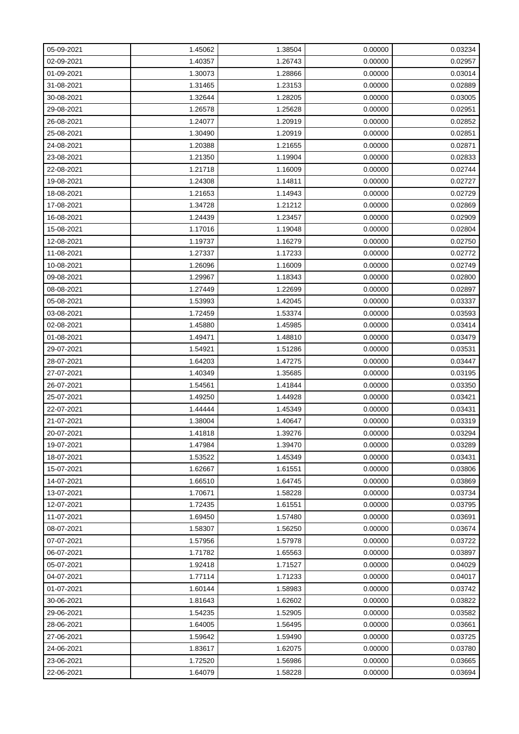| 05-09-2021 | 1.45062 | 1.38504 | 0.00000 | 0.03234 |
|------------|---------|---------|---------|---------|
| 02-09-2021 | 1.40357 | 1.26743 | 0.00000 | 0.02957 |
| 01-09-2021 | 1.30073 | 1.28866 | 0.00000 | 0.03014 |
| 31-08-2021 | 1.31465 | 1.23153 | 0.00000 | 0.02889 |
| 30-08-2021 | 1.32644 | 1.28205 | 0.00000 | 0.03005 |
| 29-08-2021 | 1.26578 | 1.25628 | 0.00000 | 0.02951 |
| 26-08-2021 | 1.24077 | 1.20919 | 0.00000 | 0.02852 |
| 25-08-2021 | 1.30490 | 1.20919 | 0.00000 | 0.02851 |
| 24-08-2021 | 1.20388 | 1.21655 | 0.00000 | 0.02871 |
| 23-08-2021 | 1.21350 | 1.19904 | 0.00000 | 0.02833 |
| 22-08-2021 | 1.21718 | 1.16009 | 0.00000 | 0.02744 |
| 19-08-2021 | 1.24308 | 1.14811 | 0.00000 | 0.02727 |
| 18-08-2021 | 1.21653 | 1.14943 | 0.00000 | 0.02729 |
| 17-08-2021 | 1.34728 | 1.21212 | 0.00000 | 0.02869 |
| 16-08-2021 | 1.24439 | 1.23457 | 0.00000 | 0.02909 |
| 15-08-2021 | 1.17016 | 1.19048 | 0.00000 | 0.02804 |
| 12-08-2021 | 1.19737 | 1.16279 | 0.00000 | 0.02750 |
| 11-08-2021 | 1.27337 | 1.17233 | 0.00000 | 0.02772 |
| 10-08-2021 | 1.26096 | 1.16009 | 0.00000 | 0.02749 |
| 09-08-2021 | 1.29967 | 1.18343 | 0.00000 | 0.02800 |
| 08-08-2021 | 1.27449 | 1.22699 | 0.00000 | 0.02897 |
| 05-08-2021 | 1.53993 | 1.42045 | 0.00000 | 0.03337 |
| 03-08-2021 | 1.72459 | 1.53374 | 0.00000 | 0.03593 |
| 02-08-2021 | 1.45880 | 1.45985 | 0.00000 | 0.03414 |
| 01-08-2021 | 1.49471 | 1.48810 | 0.00000 | 0.03479 |
| 29-07-2021 | 1.54921 | 1.51286 | 0.00000 | 0.03531 |
| 28-07-2021 | 1.64203 | 1.47275 | 0.00000 | 0.03447 |
| 27-07-2021 | 1.40349 | 1.35685 | 0.00000 | 0.03195 |
| 26-07-2021 | 1.54561 | 1.41844 | 0.00000 | 0.03350 |
| 25-07-2021 | 1.49250 | 1.44928 | 0.00000 | 0.03421 |
| 22-07-2021 | 1.44444 | 1.45349 | 0.00000 | 0.03431 |
| 21-07-2021 | 1.38004 | 1.40647 | 0.00000 | 0.03319 |
| 20-07-2021 | 1.41818 | 1.39276 | 0.00000 | 0.03294 |
| 19-07-2021 | 1.47984 | 1.39470 | 0.00000 | 0.03289 |
| 18-07-2021 | 1.53522 | 1.45349 | 0.00000 | 0.03431 |
| 15-07-2021 | 1.62667 | 1.61551 | 0.00000 | 0.03806 |
| 14-07-2021 | 1.66510 | 1.64745 | 0.00000 | 0.03869 |
| 13-07-2021 | 1.70671 | 1.58228 | 0.00000 | 0.03734 |
| 12-07-2021 | 1.72435 | 1.61551 | 0.00000 | 0.03795 |
| 11-07-2021 | 1.69450 | 1.57480 | 0.00000 | 0.03691 |
| 08-07-2021 | 1.58307 | 1.56250 | 0.00000 | 0.03674 |
| 07-07-2021 | 1.57956 | 1.57978 | 0.00000 | 0.03722 |
| 06-07-2021 | 1.71782 | 1.65563 | 0.00000 | 0.03897 |
| 05-07-2021 | 1.92418 | 1.71527 | 0.00000 | 0.04029 |
| 04-07-2021 | 1.77114 | 1.71233 | 0.00000 | 0.04017 |
| 01-07-2021 | 1.60144 | 1.58983 | 0.00000 | 0.03742 |
| 30-06-2021 | 1.81643 | 1.62602 | 0.00000 | 0.03822 |
| 29-06-2021 | 1.54235 | 1.52905 | 0.00000 | 0.03582 |
| 28-06-2021 | 1.64005 | 1.56495 | 0.00000 | 0.03661 |
| 27-06-2021 | 1.59642 | 1.59490 | 0.00000 | 0.03725 |
| 24-06-2021 | 1.83617 | 1.62075 | 0.00000 | 0.03780 |
| 23-06-2021 | 1.72520 | 1.56986 | 0.00000 | 0.03665 |
| 22-06-2021 | 1.64079 | 1.58228 | 0.00000 | 0.03694 |